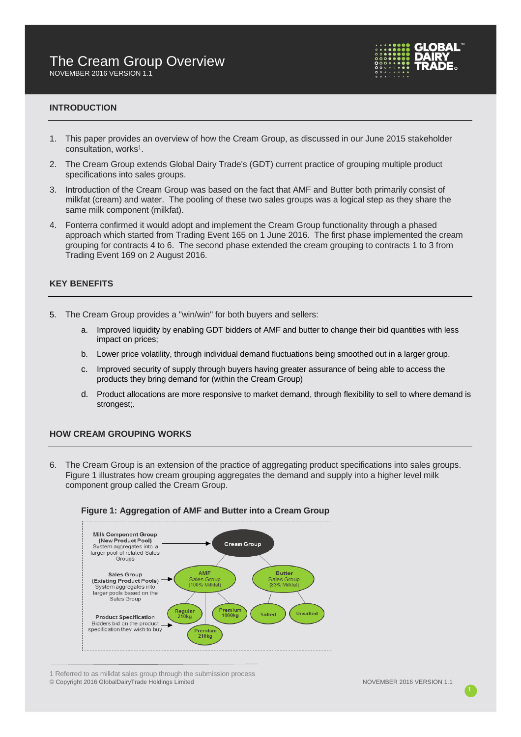

# **INTRODUCTION**

- 1. This paper provides an overview of how the Cream Group, as discussed in our June 2015 stakeholder consultation, works 1 .
- 2. The Cream Group extends Global Dairy Trade's (GDT) current practice of grouping multiple product specifications into sales groups.
- 3. Introduction of the Cream Group was based on the fact that AMF and Butter both primarily consist of milkfat (cream) and water. The pooling of these two sales groups was a logical step as they share the same milk component (milkfat).
- 4. Fonterra confirmed it would adopt and implement the Cream Group functionality through a phased approach which started from Trading Event 165 on 1 June 2016. The first phase implemented the cream grouping for contracts 4 to 6. The second phase extended the cream grouping to contracts 1 to 3 from Trading Event 169 on 2 August 2016.

# **KEY BENEFITS**

- 5. The Cream Group provides a "win/win" for both buyers and sellers:
	- a. Improved liquidity by enabling GDT bidders of AMF and butter to change their bid quantities with less impact on prices;
	- b. Lower price volatility, through individual demand fluctuations being smoothed out in a larger group.
	- c. Improved security of supply through buyers having greater assurance of being able to access the products they bring demand for (within the Cream Group)
	- d. Product allocations are more responsive to market demand, through flexibility to sell to where demand is strongest;.

# **HOW CREAM GROUPING WORKS**

6. The Cream Group is an extension of the practice of aggregating product specifications into sales groups. Figure 1 illustrates how cream grouping aggregates the demand and supply into a higher level milk component group called the Cream Group.



# **Figure 1: Aggregation of AMF and Butter into a Cream Group**

© Copyright 2016 GlobalDairyTrade Holdings Limited NOVEMBER 2016 VERSION 1.1 1 Referred to as milkfat sales group through the submission process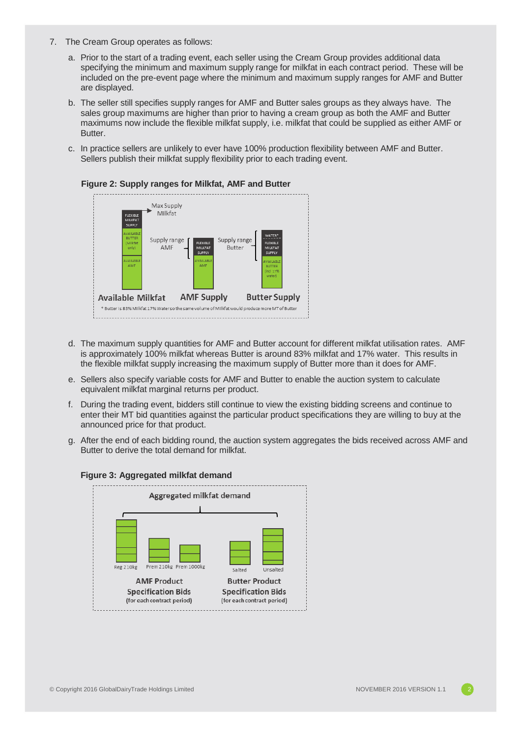- 7. The Cream Group operates as follows:
	- a. Prior to the start of a trading event, each seller using the Cream Group provides additional data specifying the minimum and maximum supply range for milkfat in each contract period. These will be included on the pre-event page where the minimum and maximum supply ranges for AMF and Butter are displayed.
	- b. The seller still specifies supply ranges for AMF and Butter sales groups as they always have. The sales group maximums are higher than prior to having a cream group as both the AMF and Butter maximums now include the flexible milkfat supply, i.e. milkfat that could be supplied as either AMF or Butter.
	- c. In practice sellers are unlikely to ever have 100% production flexibility between AMF and Butter. Sellers publish their milkfat supply flexibility prior to each trading event.



- d. The maximum supply quantities for AMF and Butter account for different milkfat utilisation rates. AMF is approximately 100% milkfat whereas Butter is around 83% milkfat and 17% water. This results in the flexible milkfat supply increasing the maximum supply of Butter more than it does for AMF.
- e. Sellers also specify variable costs for AMF and Butter to enable the auction system to calculate equivalent milkfat marginal returns per product.
- f. During the trading event, bidders still continue to view the existing bidding screens and continue to enter their MT bid quantities against the particular product specifications they are willing to buy at the announced price for that product.
- g. After the end of each bidding round, the auction system aggregates the bids received across AMF and Butter to derive the total demand for milkfat.



# **Figure 3: Aggregated milkfat demand**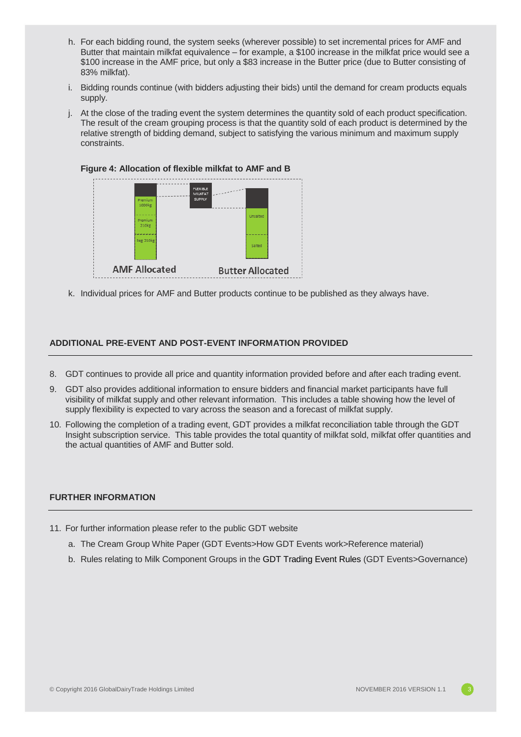- h. For each bidding round, the system seeks (wherever possible) to set incremental prices for AMF and Butter that maintain milkfat equivalence – for example, a \$100 increase in the milkfat price would see a \$100 increase in the AMF price, but only a \$83 increase in the Butter price (due to Butter consisting of 83% milkfat).
- i. Bidding rounds continue (with bidders adjusting their bids) until the demand for cream products equals supply.
- j. At the close of the trading event the system determines the quantity sold of each product specification. The result of the cream grouping process is that the quantity sold of each product is determined by the relative strength of bidding demand, subject to satisfying the various minimum and maximum supply constraints.



k. Individual prices for AMF and Butter products continue to be published as they always have.

# **ADDITIONAL PRE-EVENT AND POST-EVENT INFORMATION PROVIDED**

- 8. GDT continues to provide all price and quantity information provided before and after each trading event.
- 9. GDT also provides additional information to ensure bidders and financial market participants have full visibility of milkfat supply and other relevant information. This includes a table showing how the level of supply flexibility is expected to vary across the season and a forecast of milkfat supply.
- 10. Following the completion of a trading event, GDT provides a milkfat reconciliation table through the GDT Insight subscription service. This table provides the total quantity of milkfat sold, milkfat offer quantities and the actual quantities of AMF and Butter sold.

# **FURTHER INFORMATION**

- 11. For further information please refer to the public GDT website
	- a. The Cream Group White Paper (GDT Events>How GDT Events work>Reference material)
	- b. Rules relating to Milk Component Groups in the GDT Trading Event Rules (GDT Events>Governance)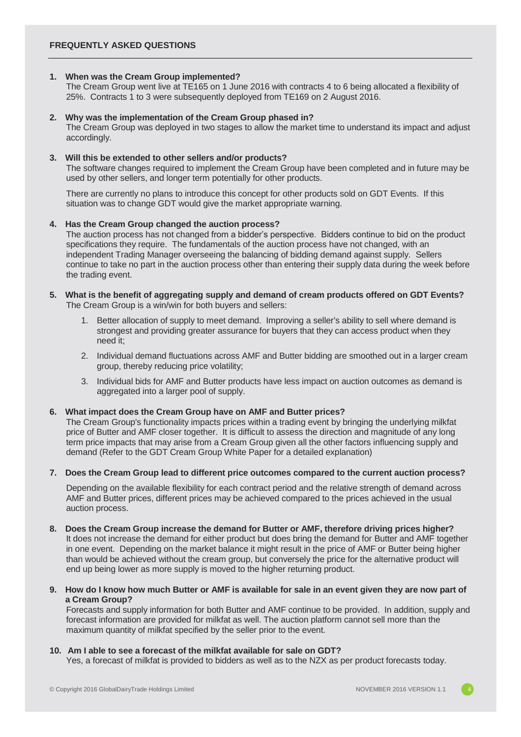# **1. When was the Cream Group implemented?**

The Cream Group went live at TE165 on 1 June 2016 with contracts 4 to 6 being allocated a flexibility of 25%. Contracts 1 to 3 were subsequently deployed from TE169 on 2 August 2016.

# **2. Why was the implementation of the Cream Group phased in?**

The Cream Group was deployed in two stages to allow the market time to understand its impact and adjust accordingly.

# **3. Will this be extended to other sellers and/or products?**

The software changes required to implement the Cream Group have been completed and in future may be used by other sellers, and longer term potentially for other products.

There are currently no plans to introduce this concept for other products sold on GDT Events. If this situation was to change GDT would give the market appropriate warning.

#### **4. Has the Cream Group changed the auction process?**

The auction process has not changed from a bidder's perspective. Bidders continue to bid on the product specifications they require. The fundamentals of the auction process have not changed, with an independent Trading Manager overseeing the balancing of bidding demand against supply. Sellers continue to take no part in the auction process other than entering their supply data during the week before the trading event.

#### **5. What is the benefit of aggregating supply and demand of cream products offered on GDT Events?**  The Cream Group is a win/win for both buyers and sellers:

- 1. Better allocation of supply to meet demand. Improving a seller's ability to sell where demand is strongest and providing greater assurance for buyers that they can access product when they need it;
- 2. Individual demand fluctuations across AMF and Butter bidding are smoothed out in a larger cream group, thereby reducing price volatility;
- 3. Individual bids for AMF and Butter products have less impact on auction outcomes as demand is aggregated into a larger pool of supply.

# **6. What impact does the Cream Group have on AMF and Butter prices?**

The Cream Group's functionality impacts prices within a trading event by bringing the underlying milkfat price of Butter and AMF closer together. It is difficult to assess the direction and magnitude of any long term price impacts that may arise from a Cream Group given all the other factors influencing supply and demand (Refer to the GDT Cream Group White Paper for a detailed explanation)

# **7. Does the Cream Group lead to different price outcomes compared to the current auction process?**

Depending on the available flexibility for each contract period and the relative strength of demand across AMF and Butter prices, different prices may be achieved compared to the prices achieved in the usual auction process.

- **8. Does the Cream Group increase the demand for Butter or AMF, therefore driving prices higher?**  It does not increase the demand for either product but does bring the demand for Butter and AMF together in one event. Depending on the market balance it might result in the price of AMF or Butter being higher than would be achieved without the cream group, but conversely the price for the alternative product will end up being lower as more supply is moved to the higher returning product.
- **9. How do I know how much Butter or AMF is available for sale in an event given they are now part of a Cream Group?**

Forecasts and supply information for both Butter and AMF continue to be provided. In addition, supply and forecast information are provided for milkfat as well. The auction platform cannot sell more than the maximum quantity of milkfat specified by the seller prior to the event.

# **10. Am I able to see a forecast of the milkfat available for sale on GDT?**

Yes, a forecast of milkfat is provided to bidders as well as to the NZX as per product forecasts today.